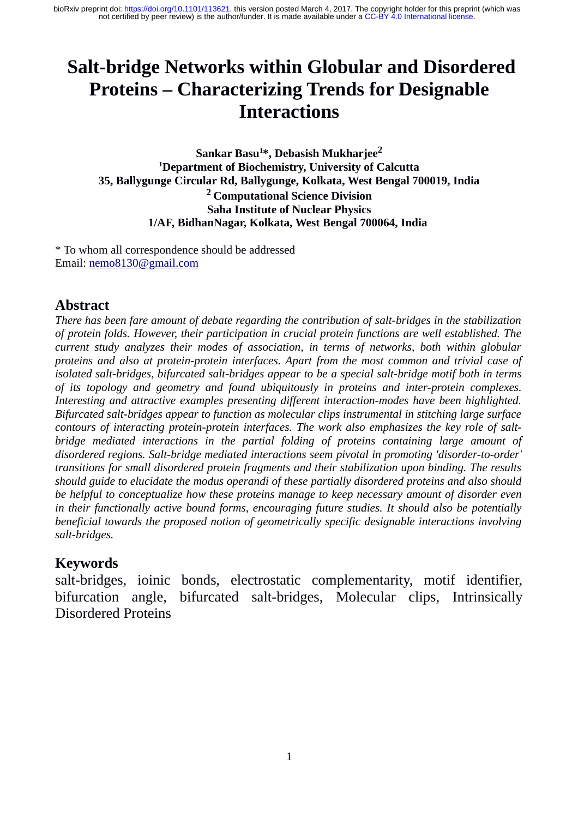# **Salt-bridge Networks within Globular and Disordered Proteins – Characterizing Trends for Designable Interactions**

**Sankar Basu<sup>1</sup> \*, Debasish Mukharjee<sup>2</sup> <sup>1</sup>Department of Biochemistry, University of Calcutta 35, Ballygunge Circular Rd, Ballygunge, Kolkata, West Bengal 700019, India <sup>2</sup>Computational Science Division Saha Institute of Nuclear Physics 1/AF, BidhanNagar, Kolkata, West Bengal 700064, India** 

\* To whom all correspondence should be addressed Email: [nemo8130@gmail.com](mailto:nemo8130@gmail.com)

## **Abstract**

*There has been fare amount of debate regarding the contribution of salt-bridges in the stabilization of protein folds. However, their participation in crucial protein functions are well established. The current study analyzes their modes of association, in terms of networks, both within globular proteins and also at protein-protein interfaces. Apart from the most common and trivial case of isolated salt-bridges, bifurcated salt-bridges appear to be a special salt-bridge motif both in terms of its topology and geometry and found ubiquitously in proteins and inter-protein complexes. Interesting and attractive examples presenting different interaction-modes have been highlighted. Bifurcated salt-bridges appear to function as molecular clips instrumental in stitching large surface contours of interacting protein-protein interfaces. The work also emphasizes the key role of saltbridge mediated interactions in the partial folding of proteins containing large amount of disordered regions. Salt-bridge mediated interactions seem pivotal in promoting 'disorder-to-order' transitions for small disordered protein fragments and their stabilization upon binding. The results should guide to elucidate the modus operandi of these partially disordered proteins and also should be helpful to conceptualize how these proteins manage to keep necessary amount of disorder even in their functionally active bound forms, encouraging future studies. It should also be potentially beneficial towards the proposed notion of geometrically specific designable interactions involving salt-bridges.* 

#### **Keywords**

salt-bridges, ioinic bonds, electrostatic complementarity, motif identifier, bifurcation angle, bifurcated salt-bridges, Molecular clips, Intrinsically Disordered Proteins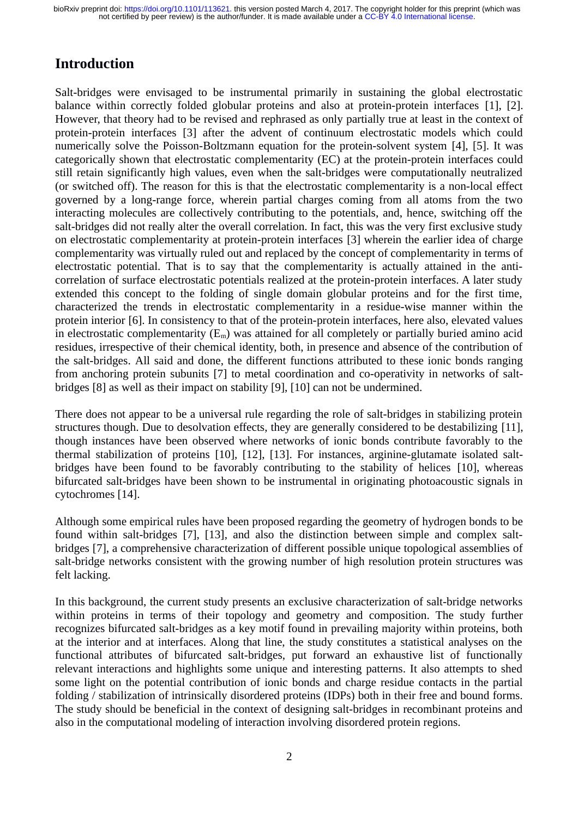## **Introduction**

Salt-bridges were envisaged to be instrumental primarily in sustaining the global electrostatic balance within correctly folded globular proteins and also at protein-protein interfaces [1], [2]. However, that theory had to be revised and rephrased as only partially true at least in the context of protein-protein interfaces [3] after the advent of continuum electrostatic models which could numerically solve the Poisson-Boltzmann equation for the protein-solvent system [4], [5]. It was categorically shown that electrostatic complementarity (EC) at the protein-protein interfaces could still retain significantly high values, even when the salt-bridges were computationally neutralized (or switched off). The reason for this is that the electrostatic complementarity is a non-local effect governed by a long-range force, wherein partial charges coming from all atoms from the two interacting molecules are collectively contributing to the potentials, and, hence, switching off the salt-bridges did not really alter the overall correlation. In fact, this was the very first exclusive study on electrostatic complementarity at protein-protein interfaces [3] wherein the earlier idea of charge complementarity was virtually ruled out and replaced by the concept of complementarity in terms of electrostatic potential. That is to say that the complementarity is actually attained in the anticorrelation of surface electrostatic potentials realized at the protein-protein interfaces. A later study extended this concept to the folding of single domain globular proteins and for the first time, characterized the trends in electrostatic complementarity in a residue-wise manner within the protein interior [6]. In consistency to that of the protein-protein interfaces, here also, elevated values in electrostatic complementarity  $(E_m)$  was attained for all completely or partially buried amino acid residues, irrespective of their chemical identity, both, in presence and absence of the contribution of the salt-bridges. All said and done, the different functions attributed to these ionic bonds ranging from anchoring protein subunits [7] to metal coordination and co-operativity in networks of saltbridges [8] as well as their impact on stability [9], [10] can not be undermined.

There does not appear to be a universal rule regarding the role of salt-bridges in stabilizing protein structures though. Due to desolvation effects, they are generally considered to be destabilizing [11], though instances have been observed where networks of ionic bonds contribute favorably to the thermal stabilization of proteins [10], [12], [13]. For instances, arginine-glutamate isolated saltbridges have been found to be favorably contributing to the stability of helices [10], whereas bifurcated salt-bridges have been shown to be instrumental in originating photoacoustic signals in cytochromes [14].

Although some empirical rules have been proposed regarding the geometry of hydrogen bonds to be found within salt-bridges [7], [13], and also the distinction between simple and complex saltbridges [7], a comprehensive characterization of different possible unique topological assemblies of salt-bridge networks consistent with the growing number of high resolution protein structures was felt lacking.

In this background, the current study presents an exclusive characterization of salt-bridge networks within proteins in terms of their topology and geometry and composition. The study further recognizes bifurcated salt-bridges as a key motif found in prevailing majority within proteins, both at the interior and at interfaces. Along that line, the study constitutes a statistical analyses on the functional attributes of bifurcated salt-bridges, put forward an exhaustive list of functionally relevant interactions and highlights some unique and interesting patterns. It also attempts to shed some light on the potential contribution of ionic bonds and charge residue contacts in the partial folding / stabilization of intrinsically disordered proteins (IDPs) both in their free and bound forms. The study should be beneficial in the context of designing salt-bridges in recombinant proteins and also in the computational modeling of interaction involving disordered protein regions.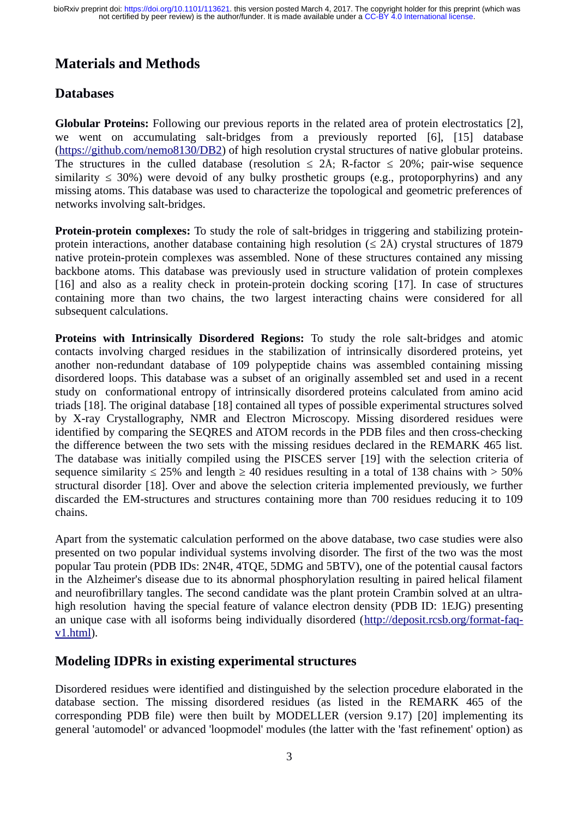## **Materials and Methods**

#### **Databases**

**Globular Proteins:** Following our previous reports in the related area of protein electrostatics [2], we went on accumulating salt-bridges from a previously reported [6], [15] database [\(https://github.com/nemo8130/DB2\)](https://github.com/nemo8130/DB2) of high resolution crystal structures of native globular proteins. The structures in the culled database (resolution  $\leq$  2Å; R-factor  $\leq$  20%; pair-wise sequence similarity  $\leq 30\%$ ) were devoid of any bulky prosthetic groups (e.g., protoporphyrins) and any missing atoms. This database was used to characterize the topological and geometric preferences of networks involving salt-bridges.

**Protein-protein complexes:** To study the role of salt-bridges in triggering and stabilizing proteinprotein interactions, another database containing high resolution ( $\leq$  2Å) crystal structures of 1879 native protein-protein complexes was assembled. None of these structures contained any missing backbone atoms. This database was previously used in structure validation of protein complexes [16] and also as a reality check in protein-protein docking scoring [17]. In case of structures containing more than two chains, the two largest interacting chains were considered for all subsequent calculations.

**Proteins with Intrinsically Disordered Regions:** To study the role salt-bridges and atomic contacts involving charged residues in the stabilization of intrinsically disordered proteins, yet another non-redundant database of 109 polypeptide chains was assembled containing missing disordered loops. This database was a subset of an originally assembled set and used in a recent study on conformational entropy of intrinsically disordered proteins calculated from amino acid triads [18]. The original database [18] contained all types of possible experimental structures solved by X-ray Crystallography, NMR and Electron Microscopy. Missing disordered residues were identified by comparing the SEQRES and ATOM records in the PDB files and then cross-checking the difference between the two sets with the missing residues declared in the REMARK 465 list. The database was initially compiled using the PISCES server [19] with the selection criteria of sequence similarity  $\leq$  25% and length  $\geq$  40 residues resulting in a total of 138 chains with  $>$  50% structural disorder [18]. Over and above the selection criteria implemented previously, we further discarded the EM-structures and structures containing more than 700 residues reducing it to 109 chains.

Apart from the systematic calculation performed on the above database, two case studies were also presented on two popular individual systems involving disorder. The first of the two was the most popular Tau protein (PDB IDs: 2N4R, 4TQE, 5DMG and 5BTV), one of the potential causal factors in the Alzheimer's disease due to its abnormal phosphorylation resulting in paired helical filament and neurofibrillary tangles. The second candidate was the plant protein Crambin solved at an ultrahigh resolution having the special feature of valance electron density (PDB ID: 1EJG) presenting an unique case with all isoforms being individually disordered [\(http://deposit.rcsb.org/format-faq](http://deposit.rcsb.org/format-faq-v1.html) $v1.html$ ).

#### **Modeling IDPRs in existing experimental structures**

Disordered residues were identified and distinguished by the selection procedure elaborated in the database section. The missing disordered residues (as listed in the REMARK 465 of the corresponding PDB file) were then built by MODELLER (version 9.17) [20] implementing its general 'automodel' or advanced 'loopmodel' modules (the latter with the 'fast refinement' option) as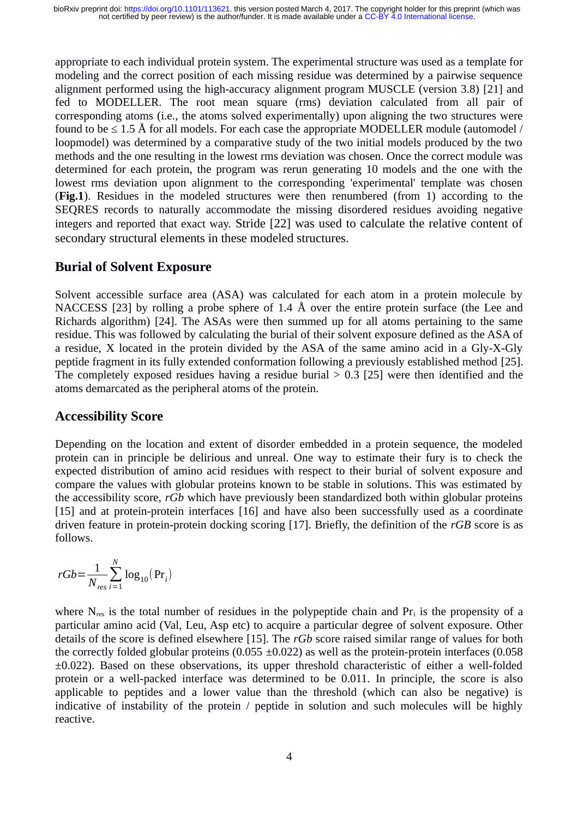appropriate to each individual protein system. The experimental structure was used as a template for modeling and the correct position of each missing residue was determined by a pairwise sequence alignment performed using the high-accuracy alignment program MUSCLE (version 3.8) [21] and fed to MODELLER. The root mean square (rms) deviation calculated from all pair of corresponding atoms (i.e., the atoms solved experimentally) upon aligning the two structures were found to be  $\leq 1.5$  Å for all models. For each case the appropriate MODELLER module (automodel / loopmodel) was determined by a comparative study of the two initial models produced by the two methods and the one resulting in the lowest rms deviation was chosen. Once the correct module was determined for each protein, the program was rerun generating 10 models and the one with the lowest rms deviation upon alignment to the corresponding 'experimental' template was chosen (**Fig.1**). Residues in the modeled structures were then renumbered (from 1) according to the SEQRES records to naturally accommodate the missing disordered residues avoiding negative integers and reported that exact way. Stride [22] was used to calculate the relative content of secondary structural elements in these modeled structures.

#### **Burial of Solvent Exposure**

Solvent accessible surface area (ASA) was calculated for each atom in a protein molecule by NACCESS [23] by rolling a probe sphere of 1.4 Å over the entire protein surface (the Lee and Richards algorithm) [24]. The ASAs were then summed up for all atoms pertaining to the same residue. This was followed by calculating the burial of their solvent exposure defined as the ASA of a residue, X located in the protein divided by the ASA of the same amino acid in a Gly-X-Gly peptide fragment in its fully extended conformation following a previously established method [25]. The completely exposed residues having a residue burial  $> 0.3$  [25] were then identified and the atoms demarcated as the peripheral atoms of the protein.

#### **Accessibility Score**

Depending on the location and extent of disorder embedded in a protein sequence, the modeled protein can in principle be delirious and unreal. One way to estimate their fury is to check the expected distribution of amino acid residues with respect to their burial of solvent exposure and compare the values with globular proteins known to be stable in solutions. This was estimated by the accessibility score, *rGb* which have previously been standardized both within globular proteins [15] and at protein-protein interfaces [16] and have also been successfully used as a coordinate driven feature in protein-protein docking scoring [17]. Briefly, the definition of the *rGB* score is as follows.

$$
rGb{=}\frac{1}{N_{res}}\sum_{i=1}^{N}\log_{10}\left(\text{Pr}_{i}\right)
$$

where  $N_{res}$  is the total number of residues in the polypeptide chain and  $Pr_i$  is the propensity of a particular amino acid (Val, Leu, Asp etc) to acquire a particular degree of solvent exposure. Other details of the score is defined elsewhere [15]. The *rGb* score raised similar range of values for both the correctly folded globular proteins (0.055  $\pm$ 0.022) as well as the protein-protein interfaces (0.058 ±0.022). Based on these observations, its upper threshold characteristic of either a well-folded protein or a well-packed interface was determined to be 0.011. In principle, the score is also applicable to peptides and a lower value than the threshold (which can also be negative) is indicative of instability of the protein / peptide in solution and such molecules will be highly reactive.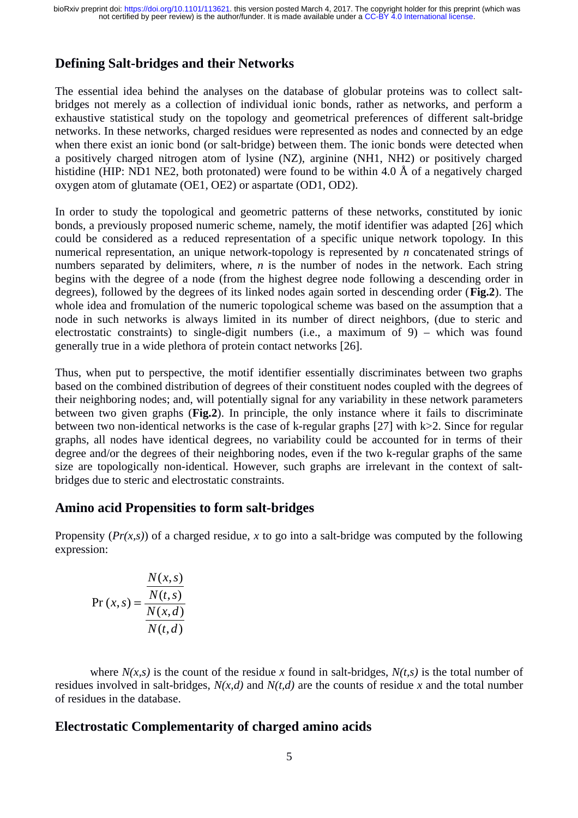#### **Defining Salt-bridges and their Networks**

The essential idea behind the analyses on the database of globular proteins was to collect saltbridges not merely as a collection of individual ionic bonds, rather as networks, and perform a exhaustive statistical study on the topology and geometrical preferences of different salt-bridge networks. In these networks, charged residues were represented as nodes and connected by an edge when there exist an ionic bond (or salt-bridge) between them. The ionic bonds were detected when a positively charged nitrogen atom of lysine (NZ), arginine (NH1, NH2) or positively charged histidine (HIP: ND1 NE2, both protonated) were found to be within 4.0 Å of a negatively charged oxygen atom of glutamate (OE1, OE2) or aspartate (OD1, OD2).

In order to study the topological and geometric patterns of these networks, constituted by ionic bonds, a previously proposed numeric scheme, namely, the motif identifier was adapted [26] which could be considered as a reduced representation of a specific unique network topology. In this numerical representation, an unique network-topology is represented by *n* concatenated strings of numbers separated by delimiters, where, *n* is the number of nodes in the network. Each string begins with the degree of a node (from the highest degree node following a descending order in degrees), followed by the degrees of its linked nodes again sorted in descending order (**Fig.2**). The whole idea and fromulation of the numeric topological scheme was based on the assumption that a node in such networks is always limited in its number of direct neighbors, (due to steric and electrostatic constraints) to single-digit numbers (i.e., a maximum of 9) – which was found generally true in a wide plethora of protein contact networks [26].

Thus, when put to perspective, the motif identifier essentially discriminates between two graphs based on the combined distribution of degrees of their constituent nodes coupled with the degrees of their neighboring nodes; and, will potentially signal for any variability in these network parameters between two given graphs (**Fig.2**). In principle, the only instance where it fails to discriminate between two non-identical networks is the case of k-regular graphs [27] with k>2. Since for regular graphs, all nodes have identical degrees, no variability could be accounted for in terms of their degree and/or the degrees of their neighboring nodes, even if the two k-regular graphs of the same size are topologically non-identical. However, such graphs are irrelevant in the context of saltbridges due to steric and electrostatic constraints.

#### **Amino acid Propensities to form salt-bridges**

Propensity (*Pr(x,s)*) of a charged residue, *x* to go into a salt-bridge was computed by the following expression:

$$
Pr(x, s) = \frac{\frac{N(x, s)}{N(t, s)}}{\frac{N(x, d)}{N(t, d)}}
$$

where  $N(x,s)$  is the count of the residue x found in salt-bridges,  $N(t,s)$  is the total number of residues involved in salt-bridges, *N(x,d)* and *N(t,d)* are the counts of residue *x* and the total number of residues in the database.

#### **Electrostatic Complementarity of charged amino acids**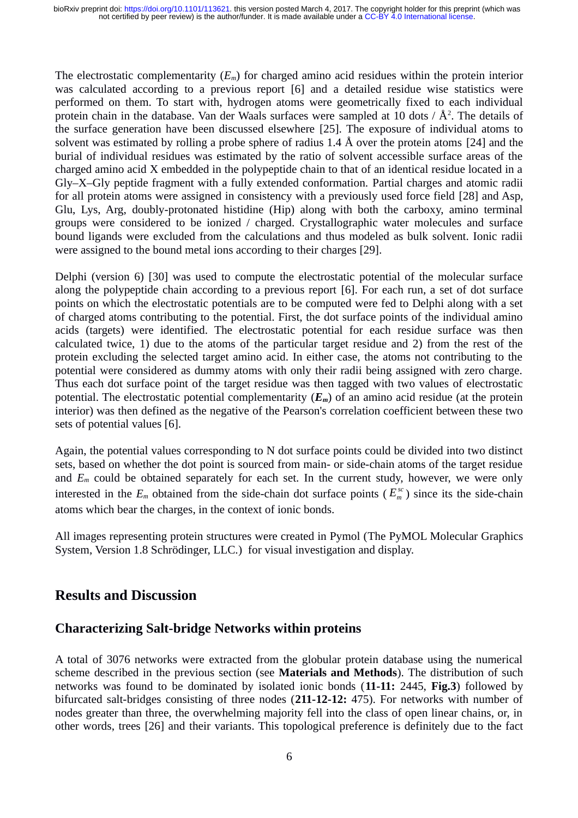The electrostatic complementarity (*Em*) for charged amino acid residues within the protein interior was calculated according to a previous report [6] and a detailed residue wise statistics were performed on them. To start with, hydrogen atoms were geometrically fixed to each individual protein chain in the database. Van der Waals surfaces were sampled at 10 dots /  $\rm \AA^2.$  The details of the surface generation have been discussed elsewhere [25]. The exposure of individual atoms to solvent was estimated by rolling a probe sphere of radius 1.4 Å over the protein atoms [24] and the burial of individual residues was estimated by the ratio of solvent accessible surface areas of the charged amino acid X embedded in the polypeptide chain to that of an identical residue located in a Gly–X–Gly peptide fragment with a fully extended conformation. Partial charges and atomic radii for all protein atoms were assigned in consistency with a previously used force field [28] and Asp, Glu, Lys, Arg, doubly-protonated histidine (Hip) along with both the carboxy, amino terminal groups were considered to be ionized / charged. Crystallographic water molecules and surface bound ligands were excluded from the calculations and thus modeled as bulk solvent. Ionic radii were assigned to the bound metal ions according to their charges [29].

Delphi (version 6) [30] was used to compute the electrostatic potential of the molecular surface along the polypeptide chain according to a previous report [6]. For each run, a set of dot surface points on which the electrostatic potentials are to be computed were fed to Delphi along with a set of charged atoms contributing to the potential. First, the dot surface points of the individual amino acids (targets) were identified. The electrostatic potential for each residue surface was then calculated twice, 1) due to the atoms of the particular target residue and 2) from the rest of the protein excluding the selected target amino acid. In either case, the atoms not contributing to the potential were considered as dummy atoms with only their radii being assigned with zero charge. Thus each dot surface point of the target residue was then tagged with two values of electrostatic potential. The electrostatic potential complementarity (*Em*) of an amino acid residue (at the protein interior) was then defined as the negative of the Pearson's correlation coefficient between these two sets of potential values [6].

Again, the potential values corresponding to N dot surface points could be divided into two distinct sets, based on whether the dot point is sourced from main- or side-chain atoms of the target residue and  $E_m$  could be obtained separately for each set. In the current study, however, we were only interested in the  $E_m$  obtained from the side-chain dot surface points ( $E_m^{\rm sc}$ ) since its the side-chain atoms which bear the charges, in the context of ionic bonds.

All images representing protein structures were created in Pymol (The PyMOL Molecular Graphics System, Version 1.8 Schrödinger, LLC.) for visual investigation and display.

#### **Results and Discussion**

#### **Characterizing Salt-bridge Networks within proteins**

A total of 3076 networks were extracted from the globular protein database using the numerical scheme described in the previous section (see **Materials and Methods**). The distribution of such networks was found to be dominated by isolated ionic bonds (**11-11:** 2445, **Fig.3**) followed by bifurcated salt-bridges consisting of three nodes (**211-12-12:** 475). For networks with number of nodes greater than three, the overwhelming majority fell into the class of open linear chains, or, in other words, trees [26] and their variants. This topological preference is definitely due to the fact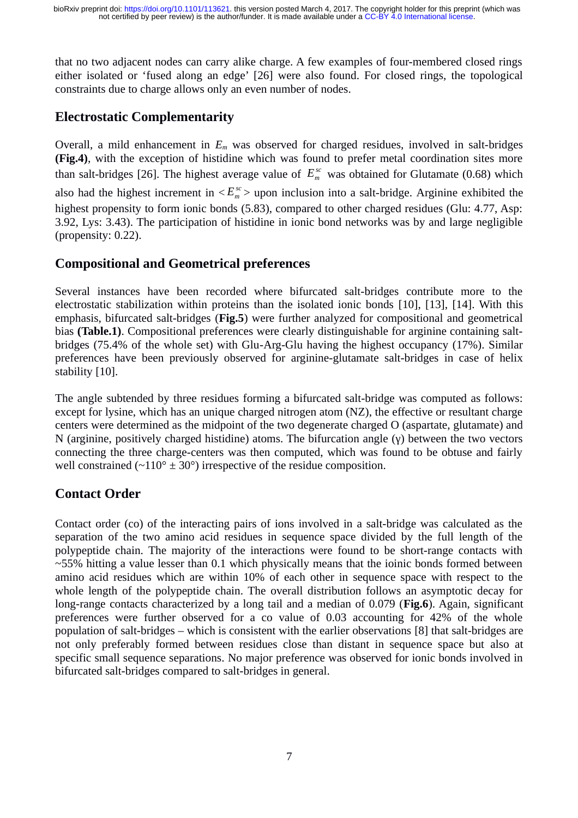that no two adjacent nodes can carry alike charge. A few examples of four-membered closed rings either isolated or 'fused along an edge' [26] were also found. For closed rings, the topological constraints due to charge allows only an even number of nodes.

### **Electrostatic Complementarity**

Overall, a mild enhancement in *Em* was observed for charged residues, involved in salt-bridges **(Fig.4)**, with the exception of histidine which was found to prefer metal coordination sites more than salt-bridges [26]. The highest average value of  $E_m^{sc}$  was obtained for Glutamate (0.68) which also had the highest increment in  $\langle E_m^{sc} \rangle$  upon inclusion into a salt-bridge. Arginine exhibited the highest propensity to form ionic bonds (5.83), compared to other charged residues (Glu: 4.77, Asp: 3.92, Lys: 3.43). The participation of histidine in ionic bond networks was by and large negligible (propensity: 0.22).

#### **Compositional and Geometrical preferences**

Several instances have been recorded where bifurcated salt-bridges contribute more to the electrostatic stabilization within proteins than the isolated ionic bonds [10], [13], [14]. With this emphasis, bifurcated salt-bridges (**Fig.5**) were further analyzed for compositional and geometrical bias **(Table.1)**. Compositional preferences were clearly distinguishable for arginine containing saltbridges (75.4% of the whole set) with Glu-Arg-Glu having the highest occupancy (17%). Similar preferences have been previously observed for arginine-glutamate salt-bridges in case of helix stability [10].

The angle subtended by three residues forming a bifurcated salt-bridge was computed as follows: except for lysine, which has an unique charged nitrogen atom (NZ), the effective or resultant charge centers were determined as the midpoint of the two degenerate charged O (aspartate, glutamate) and N (arginine, positively charged histidine) atoms. The bifurcation angle (γ) between the two vectors connecting the three charge-centers was then computed, which was found to be obtuse and fairly well constrained ( $\sim$ 110°  $\pm$  30°) irrespective of the residue composition.

#### **Contact Order**

Contact order (co) of the interacting pairs of ions involved in a salt-bridge was calculated as the separation of the two amino acid residues in sequence space divided by the full length of the polypeptide chain. The majority of the interactions were found to be short-range contacts with  $\sim$ 55% hitting a value lesser than 0.1 which physically means that the ioinic bonds formed between amino acid residues which are within 10% of each other in sequence space with respect to the whole length of the polypeptide chain. The overall distribution follows an asymptotic decay for long-range contacts characterized by a long tail and a median of 0.079 (**Fig.6**). Again, significant preferences were further observed for a co value of 0.03 accounting for 42% of the whole population of salt-bridges – which is consistent with the earlier observations [8] that salt-bridges are not only preferably formed between residues close than distant in sequence space but also at specific small sequence separations. No major preference was observed for ionic bonds involved in bifurcated salt-bridges compared to salt-bridges in general.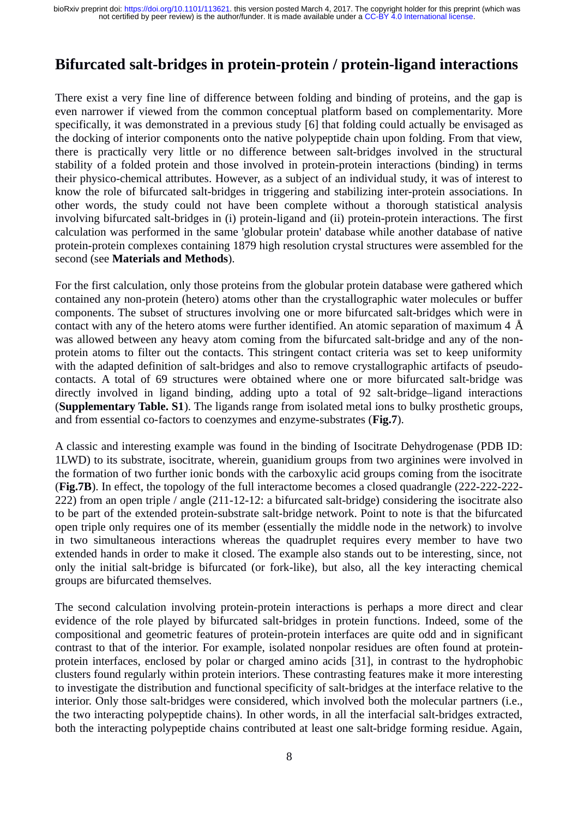## **Bifurcated salt-bridges in protein-protein / protein-ligand interactions**

There exist a very fine line of difference between folding and binding of proteins, and the gap is even narrower if viewed from the common conceptual platform based on complementarity. More specifically, it was demonstrated in a previous study [6] that folding could actually be envisaged as the docking of interior components onto the native polypeptide chain upon folding. From that view, there is practically very little or no difference between salt-bridges involved in the structural stability of a folded protein and those involved in protein-protein interactions (binding) in terms their physico-chemical attributes. However, as a subject of an individual study, it was of interest to know the role of bifurcated salt-bridges in triggering and stabilizing inter-protein associations. In other words, the study could not have been complete without a thorough statistical analysis involving bifurcated salt-bridges in (i) protein-ligand and (ii) protein-protein interactions. The first calculation was performed in the same 'globular protein' database while another database of native protein-protein complexes containing 1879 high resolution crystal structures were assembled for the second (see **Materials and Methods**).

For the first calculation, only those proteins from the globular protein database were gathered which contained any non-protein (hetero) atoms other than the crystallographic water molecules or buffer components. The subset of structures involving one or more bifurcated salt-bridges which were in contact with any of the hetero atoms were further identified. An atomic separation of maximum 4 Å was allowed between any heavy atom coming from the bifurcated salt-bridge and any of the nonprotein atoms to filter out the contacts. This stringent contact criteria was set to keep uniformity with the adapted definition of salt-bridges and also to remove crystallographic artifacts of pseudocontacts. A total of 69 structures were obtained where one or more bifurcated salt-bridge was directly involved in ligand binding, adding upto a total of 92 salt-bridge–ligand interactions (**Supplementary Table. S1**). The ligands range from isolated metal ions to bulky prosthetic groups, and from essential co-factors to coenzymes and enzyme-substrates (**Fig.7**).

A classic and interesting example was found in the binding of Isocitrate Dehydrogenase (PDB ID: 1LWD) to its substrate, isocitrate, wherein, guanidium groups from two arginines were involved in the formation of two further ionic bonds with the carboxylic acid groups coming from the isocitrate (**Fig.7B**). In effect, the topology of the full interactome becomes a closed quadrangle (222-222-222- 222) from an open triple / angle (211-12-12: a bifurcated salt-bridge) considering the isocitrate also to be part of the extended protein-substrate salt-bridge network. Point to note is that the bifurcated open triple only requires one of its member (essentially the middle node in the network) to involve in two simultaneous interactions whereas the quadruplet requires every member to have two extended hands in order to make it closed. The example also stands out to be interesting, since, not only the initial salt-bridge is bifurcated (or fork-like), but also, all the key interacting chemical groups are bifurcated themselves.

The second calculation involving protein-protein interactions is perhaps a more direct and clear evidence of the role played by bifurcated salt-bridges in protein functions. Indeed, some of the compositional and geometric features of protein-protein interfaces are quite odd and in significant contrast to that of the interior. For example, isolated nonpolar residues are often found at proteinprotein interfaces, enclosed by polar or charged amino acids [31], in contrast to the hydrophobic clusters found regularly within protein interiors. These contrasting features make it more interesting to investigate the distribution and functional specificity of salt-bridges at the interface relative to the interior. Only those salt-bridges were considered, which involved both the molecular partners (i.e., the two interacting polypeptide chains). In other words, in all the interfacial salt-bridges extracted, both the interacting polypeptide chains contributed at least one salt-bridge forming residue. Again,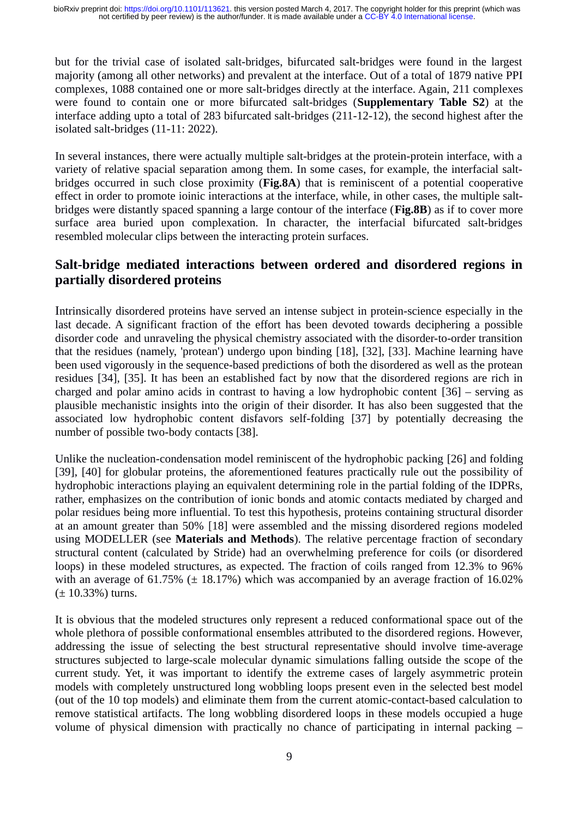but for the trivial case of isolated salt-bridges, bifurcated salt-bridges were found in the largest majority (among all other networks) and prevalent at the interface. Out of a total of 1879 native PPI complexes, 1088 contained one or more salt-bridges directly at the interface. Again, 211 complexes were found to contain one or more bifurcated salt-bridges (**Supplementary Table S2**) at the interface adding upto a total of 283 bifurcated salt-bridges (211-12-12), the second highest after the isolated salt-bridges (11-11: 2022).

In several instances, there were actually multiple salt-bridges at the protein-protein interface, with a variety of relative spacial separation among them. In some cases, for example, the interfacial saltbridges occurred in such close proximity (**Fig.8A**) that is reminiscent of a potential cooperative effect in order to promote ioinic interactions at the interface, while, in other cases, the multiple saltbridges were distantly spaced spanning a large contour of the interface (**Fig.8B**) as if to cover more surface area buried upon complexation. In character, the interfacial bifurcated salt-bridges resembled molecular clips between the interacting protein surfaces.

#### **Salt-bridge mediated interactions between ordered and disordered regions in partially disordered proteins**

Intrinsically disordered proteins have served an intense subject in protein-science especially in the last decade. A significant fraction of the effort has been devoted towards deciphering a possible disorder code and unraveling the physical chemistry associated with the disorder-to-order transition that the residues (namely, 'protean') undergo upon binding [18], [32], [33]. Machine learning have been used vigorously in the sequence-based predictions of both the disordered as well as the protean residues [34], [35]. It has been an established fact by now that the disordered regions are rich in charged and polar amino acids in contrast to having a low hydrophobic content [36] – serving as plausible mechanistic insights into the origin of their disorder. It has also been suggested that the associated low hydrophobic content disfavors self-folding [37] by potentially decreasing the number of possible two-body contacts [38].

Unlike the nucleation-condensation model reminiscent of the hydrophobic packing [26] and folding [39], [40] for globular proteins, the aforementioned features practically rule out the possibility of hydrophobic interactions playing an equivalent determining role in the partial folding of the IDPRs, rather, emphasizes on the contribution of ionic bonds and atomic contacts mediated by charged and polar residues being more influential. To test this hypothesis, proteins containing structural disorder at an amount greater than 50% [18] were assembled and the missing disordered regions modeled using MODELLER (see **Materials and Methods**). The relative percentage fraction of secondary structural content (calculated by Stride) had an overwhelming preference for coils (or disordered loops) in these modeled structures, as expected. The fraction of coils ranged from 12.3% to 96% with an average of 61.75% ( $\pm$  18.17%) which was accompanied by an average fraction of 16.02%  $(\pm 10.33\%)$  turns.

It is obvious that the modeled structures only represent a reduced conformational space out of the whole plethora of possible conformational ensembles attributed to the disordered regions. However, addressing the issue of selecting the best structural representative should involve time-average structures subjected to large-scale molecular dynamic simulations falling outside the scope of the current study. Yet, it was important to identify the extreme cases of largely asymmetric protein models with completely unstructured long wobbling loops present even in the selected best model (out of the 10 top models) and eliminate them from the current atomic-contact-based calculation to remove statistical artifacts. The long wobbling disordered loops in these models occupied a huge volume of physical dimension with practically no chance of participating in internal packing –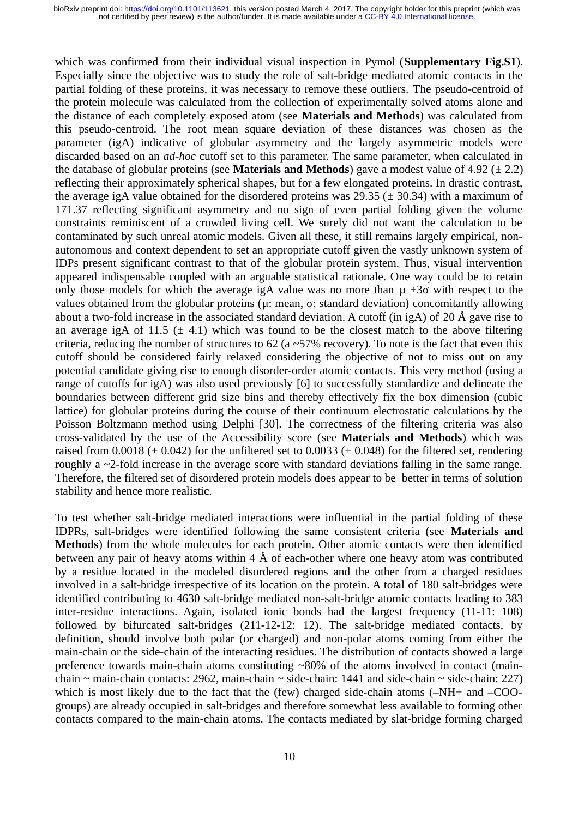which was confirmed from their individual visual inspection in Pymol (**Supplementary Fig.S1**). Especially since the objective was to study the role of salt-bridge mediated atomic contacts in the partial folding of these proteins, it was necessary to remove these outliers. The pseudo-centroid of the protein molecule was calculated from the collection of experimentally solved atoms alone and the distance of each completely exposed atom (see **Materials and Methods**) was calculated from this pseudo-centroid. The root mean square deviation of these distances was chosen as the parameter (igA) indicative of globular asymmetry and the largely asymmetric models were discarded based on an *ad-hoc* cutoff set to this parameter. The same parameter, when calculated in the database of globular proteins (see **Materials and Methods**) gave a modest value of 4.92 (± 2.2) reflecting their approximately spherical shapes, but for a few elongated proteins. In drastic contrast, the average igA value obtained for the disordered proteins was  $29.35$  ( $\pm$  30.34) with a maximum of 171.37 reflecting significant asymmetry and no sign of even partial folding given the volume constraints reminiscent of a crowded living cell. We surely did not want the calculation to be contaminated by such unreal atomic models. Given all these, it still remains largely empirical, nonautonomous and context dependent to set an appropriate cutoff given the vastly unknown system of IDPs present significant contrast to that of the globular protein system. Thus, visual intervention appeared indispensable coupled with an arguable statistical rationale. One way could be to retain only those models for which the average igA value was no more than  $\mu$  +3 $\sigma$  with respect to the values obtained from the globular proteins (µ: mean, σ: standard deviation) concomitantly allowing about a two-fold increase in the associated standard deviation. A cutoff (in igA) of 20 Å gave rise to an average igA of 11.5 ( $\pm$  4.1) which was found to be the closest match to the above filtering criteria, reducing the number of structures to 62 (a  $\sim$  57% recovery). To note is the fact that even this cutoff should be considered fairly relaxed considering the objective of not to miss out on any potential candidate giving rise to enough disorder-order atomic contacts. This very method (using a range of cutoffs for igA) was also used previously [6] to successfully standardize and delineate the boundaries between different grid size bins and thereby effectively fix the box dimension (cubic lattice) for globular proteins during the course of their continuum electrostatic calculations by the Poisson Boltzmann method using Delphi [30]. The correctness of the filtering criteria was also cross-validated by the use of the Accessibility score (see **Materials and Methods**) which was raised from 0.0018 ( $\pm$  0.042) for the unfiltered set to 0.0033 ( $\pm$  0.048) for the filtered set, rendering roughly a ~2-fold increase in the average score with standard deviations falling in the same range. Therefore, the filtered set of disordered protein models does appear to be better in terms of solution stability and hence more realistic.

To test whether salt-bridge mediated interactions were influential in the partial folding of these IDPRs, salt-bridges were identified following the same consistent criteria (see **Materials and Methods**) from the whole molecules for each protein. Other atomic contacts were then identified between any pair of heavy atoms within 4  $\AA$  of each-other where one heavy atom was contributed by a residue located in the modeled disordered regions and the other from a charged residues involved in a salt-bridge irrespective of its location on the protein. A total of 180 salt-bridges were identified contributing to 4630 salt-bridge mediated non-salt-bridge atomic contacts leading to 383 inter-residue interactions. Again, isolated ionic bonds had the largest frequency (11-11: 108) followed by bifurcated salt-bridges (211-12-12: 12). The salt-bridge mediated contacts, by definition, should involve both polar (or charged) and non-polar atoms coming from either the main-chain or the side-chain of the interacting residues. The distribution of contacts showed a large preference towards main-chain atoms constituting  $\sim 80\%$  of the atoms involved in contact (mainchain  $\sim$  main-chain contacts: 2962, main-chain  $\sim$  side-chain: 1441 and side-chain  $\sim$  side-chain: 227) which is most likely due to the fact that the (few) charged side-chain atoms  $(-NH+$  and  $-COO$ groups) are already occupied in salt-bridges and therefore somewhat less available to forming other contacts compared to the main-chain atoms. The contacts mediated by slat-bridge forming charged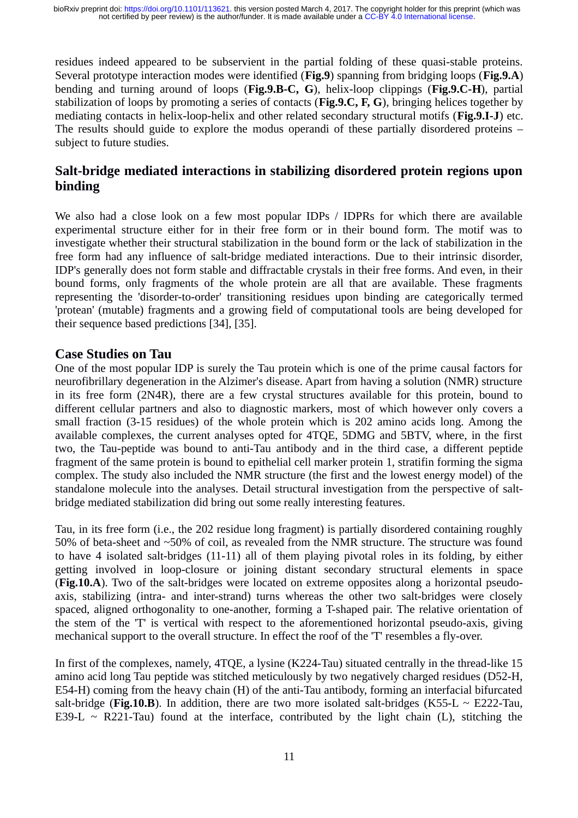residues indeed appeared to be subservient in the partial folding of these quasi-stable proteins. Several prototype interaction modes were identified (**Fig.9**) spanning from bridging loops (**Fig.9.A**) bending and turning around of loops (**Fig.9.B-C, G**), helix-loop clippings (**Fig.9.C-H**), partial stabilization of loops by promoting a series of contacts (**Fig.9.C, F, G**), bringing helices together by mediating contacts in helix-loop-helix and other related secondary structural motifs (**Fig.9.I-J**) etc. The results should guide to explore the modus operandi of these partially disordered proteins – subject to future studies.

#### **Salt-bridge mediated interactions in stabilizing disordered protein regions upon binding**

We also had a close look on a few most popular IDPs / IDPRs for which there are available experimental structure either for in their free form or in their bound form. The motif was to investigate whether their structural stabilization in the bound form or the lack of stabilization in the free form had any influence of salt-bridge mediated interactions. Due to their intrinsic disorder, IDP's generally does not form stable and diffractable crystals in their free forms. And even, in their bound forms, only fragments of the whole protein are all that are available. These fragments representing the 'disorder-to-order' transitioning residues upon binding are categorically termed 'protean' (mutable) fragments and a growing field of computational tools are being developed for their sequence based predictions [34], [35].

#### **Case Studies on Tau**

One of the most popular IDP is surely the Tau protein which is one of the prime causal factors for neurofibrillary degeneration in the Alzimer's disease. Apart from having a solution (NMR) structure in its free form (2N4R), there are a few crystal structures available for this protein, bound to different cellular partners and also to diagnostic markers, most of which however only covers a small fraction (3-15 residues) of the whole protein which is 202 amino acids long. Among the available complexes, the current analyses opted for 4TQE, 5DMG and 5BTV, where, in the first two, the Tau-peptide was bound to anti-Tau antibody and in the third case, a different peptide fragment of the same protein is bound to epithelial cell marker protein 1, stratifin forming the sigma complex. The study also included the NMR structure (the first and the lowest energy model) of the standalone molecule into the analyses. Detail structural investigation from the perspective of saltbridge mediated stabilization did bring out some really interesting features.

Tau, in its free form (i.e., the 202 residue long fragment) is partially disordered containing roughly 50% of beta-sheet and ~50% of coil, as revealed from the NMR structure. The structure was found to have 4 isolated salt-bridges (11-11) all of them playing pivotal roles in its folding, by either getting involved in loop-closure or joining distant secondary structural elements in space (**Fig.10.A**). Two of the salt-bridges were located on extreme opposites along a horizontal pseudoaxis, stabilizing (intra- and inter-strand) turns whereas the other two salt-bridges were closely spaced, aligned orthogonality to one-another, forming a T-shaped pair. The relative orientation of the stem of the 'T' is vertical with respect to the aforementioned horizontal pseudo-axis, giving mechanical support to the overall structure. In effect the roof of the 'T' resembles a fly-over.

In first of the complexes, namely, 4TQE, a lysine (K224-Tau) situated centrally in the thread-like 15 amino acid long Tau peptide was stitched meticulously by two negatively charged residues (D52-H, E54-H) coming from the heavy chain (H) of the anti-Tau antibody, forming an interfacial bifurcated salt-bridge (**Fig.10.B**). In addition, there are two more isolated salt-bridges (K55-L  $\sim$  E222-Tau, E39-L  $\sim$  R221-Tau) found at the interface, contributed by the light chain (L), stitching the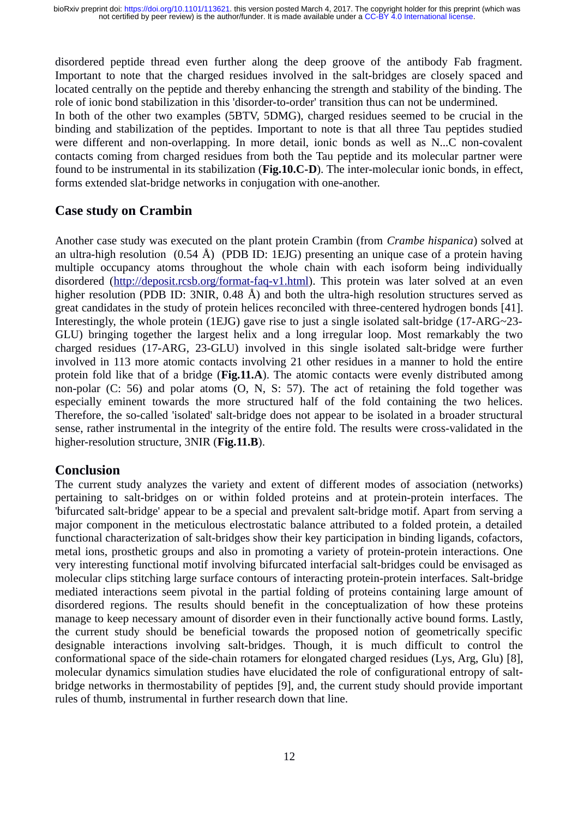disordered peptide thread even further along the deep groove of the antibody Fab fragment. Important to note that the charged residues involved in the salt-bridges are closely spaced and located centrally on the peptide and thereby enhancing the strength and stability of the binding. The role of ionic bond stabilization in this 'disorder-to-order' transition thus can not be undermined.

In both of the other two examples (5BTV, 5DMG), charged residues seemed to be crucial in the binding and stabilization of the peptides. Important to note is that all three Tau peptides studied were different and non-overlapping. In more detail, ionic bonds as well as N...C non-covalent contacts coming from charged residues from both the Tau peptide and its molecular partner were found to be instrumental in its stabilization (**Fig.10.C-D**). The inter-molecular ionic bonds, in effect, forms extended slat-bridge networks in conjugation with one-another.

#### **Case study on Crambin**

Another case study was executed on the plant protein Crambin (from *Crambe hispanica*) solved at an ultra-high resolution  $(0.54 \text{ Å})$  (PDB ID: 1EJG) presenting an unique case of a protein having multiple occupancy atoms throughout the whole chain with each isoform being individually disordered [\(http://deposit.rcsb.org/format-faq-v1.html\)](http://deposit.rcsb.org/format-faq-v1.html). This protein was later solved at an even higher resolution (PDB ID: 3NIR, 0.48 Å) and both the ultra-high resolution structures served as great candidates in the study of protein helices reconciled with three-centered hydrogen bonds [41]. Interestingly, the whole protein (1EJG) gave rise to just a single isolated salt-bridge (17-ARG~23- GLU) bringing together the largest helix and a long irregular loop. Most remarkably the two charged residues (17-ARG, 23-GLU) involved in this single isolated salt-bridge were further involved in 113 more atomic contacts involving 21 other residues in a manner to hold the entire protein fold like that of a bridge (**Fig.11.A**). The atomic contacts were evenly distributed among non-polar (C: 56) and polar atoms (O, N, S: 57). The act of retaining the fold together was especially eminent towards the more structured half of the fold containing the two helices. Therefore, the so-called 'isolated' salt-bridge does not appear to be isolated in a broader structural sense, rather instrumental in the integrity of the entire fold. The results were cross-validated in the higher-resolution structure, 3NIR (**Fig.11.B**).

#### **Conclusion**

The current study analyzes the variety and extent of different modes of association (networks) pertaining to salt-bridges on or within folded proteins and at protein-protein interfaces. The 'bifurcated salt-bridge' appear to be a special and prevalent salt-bridge motif. Apart from serving a major component in the meticulous electrostatic balance attributed to a folded protein, a detailed functional characterization of salt-bridges show their key participation in binding ligands, cofactors, metal ions, prosthetic groups and also in promoting a variety of protein-protein interactions. One very interesting functional motif involving bifurcated interfacial salt-bridges could be envisaged as molecular clips stitching large surface contours of interacting protein-protein interfaces. Salt-bridge mediated interactions seem pivotal in the partial folding of proteins containing large amount of disordered regions. The results should benefit in the conceptualization of how these proteins manage to keep necessary amount of disorder even in their functionally active bound forms. Lastly, the current study should be beneficial towards the proposed notion of geometrically specific designable interactions involving salt-bridges. Though, it is much difficult to control the conformational space of the side-chain rotamers for elongated charged residues (Lys, Arg, Glu) [8], molecular dynamics simulation studies have elucidated the role of configurational entropy of saltbridge networks in thermostability of peptides [9], and, the current study should provide important rules of thumb, instrumental in further research down that line.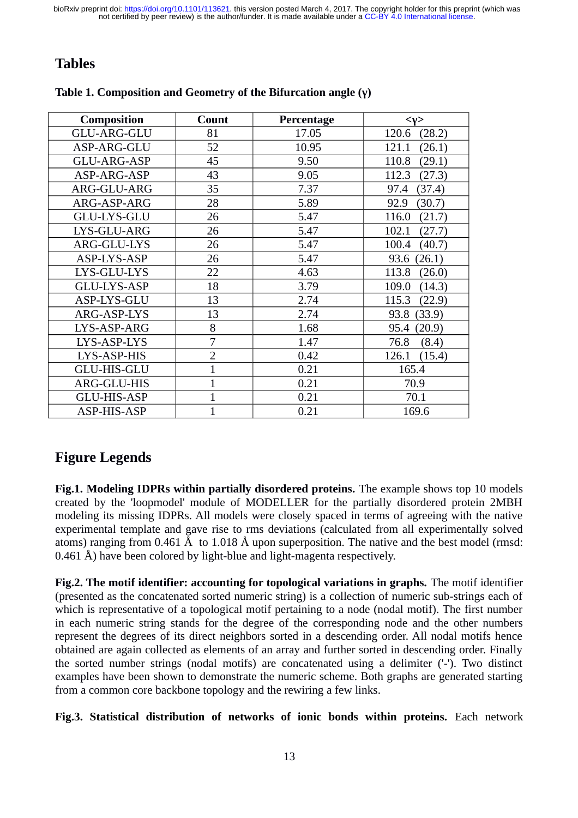## **Tables**

| <b>Composition</b> | Count          | Percentage | $<\nu>$         |
|--------------------|----------------|------------|-----------------|
| <b>GLU-ARG-GLU</b> | 81             | 17.05      | 120.6<br>(28.2) |
| ASP-ARG-GLU        | 52             | 10.95      | (26.1)<br>121.1 |
| GLU-ARG-ASP        | 45             | 9.50       | 110.8<br>(29.1) |
| ASP-ARG-ASP        | 43             | 9.05       | 112.3<br>(27.3) |
| ARG-GLU-ARG        | 35             | 7.37       | (37.4)<br>97.4  |
| ARG-ASP-ARG        | 28             | 5.89       | 92.9<br>(30.7)  |
| <b>GLU-LYS-GLU</b> | 26             | 5.47       | 116.0<br>(21.7) |
| LYS-GLU-ARG        | 26             | 5.47       | 102.1<br>(27.7) |
| ARG-GLU-LYS        | 26             | 5.47       | 100.4<br>(40.7) |
| ASP-LYS-ASP        | 26             | 5.47       | 93.6<br>(26.1)  |
| LYS-GLU-LYS        | 22             | 4.63       | 113.8<br>(26.0) |
| <b>GLU-LYS-ASP</b> | 18             | 3.79       | 109.0<br>(14.3) |
| ASP-LYS-GLU        | 13             | 2.74       | 115.3<br>(22.9) |
| ARG-ASP-LYS        | 13             | 2.74       | 93.8<br>(33.9)  |
| LYS-ASP-ARG        | 8              | 1.68       | 95.4<br>(20.9)  |
| LYS-ASP-LYS        | 7              | 1.47       | 76.8<br>(8.4)   |
| LYS-ASP-HIS        | $\overline{2}$ | 0.42       | 126.1<br>(15.4) |
| <b>GLU-HIS-GLU</b> | $\overline{1}$ | 0.21       | 165.4           |
| ARG-GLU-HIS        | $\overline{1}$ | 0.21       | 70.9            |
| <b>GLU-HIS-ASP</b> | $\overline{1}$ | 0.21       | 70.1            |
| ASP-HIS-ASP        | 1              | 0.21       | 169.6           |

#### **Table 1. Composition and Geometry of the Bifurcation angle (γ)**

## **Figure Legends**

**Fig.1. Modeling IDPRs within partially disordered proteins.** The example shows top 10 models created by the 'loopmodel' module of MODELLER for the partially disordered protein 2MBH modeling its missing IDPRs. All models were closely spaced in terms of agreeing with the native experimental template and gave rise to rms deviations (calculated from all experimentally solved atoms) ranging from 0.461 Å to 1.018 Å upon superposition. The native and the best model (rmsd: 0.461 Å) have been colored by light-blue and light-magenta respectively.

**Fig.2. The motif identifier: accounting for topological variations in graphs.** The motif identifier (presented as the concatenated sorted numeric string) is a collection of numeric sub-strings each of which is representative of a topological motif pertaining to a node (nodal motif). The first number in each numeric string stands for the degree of the corresponding node and the other numbers represent the degrees of its direct neighbors sorted in a descending order. All nodal motifs hence obtained are again collected as elements of an array and further sorted in descending order. Finally the sorted number strings (nodal motifs) are concatenated using a delimiter ('-'). Two distinct examples have been shown to demonstrate the numeric scheme. Both graphs are generated starting from a common core backbone topology and the rewiring a few links.

**Fig.3. Statistical distribution of networks of ionic bonds within proteins.** Each network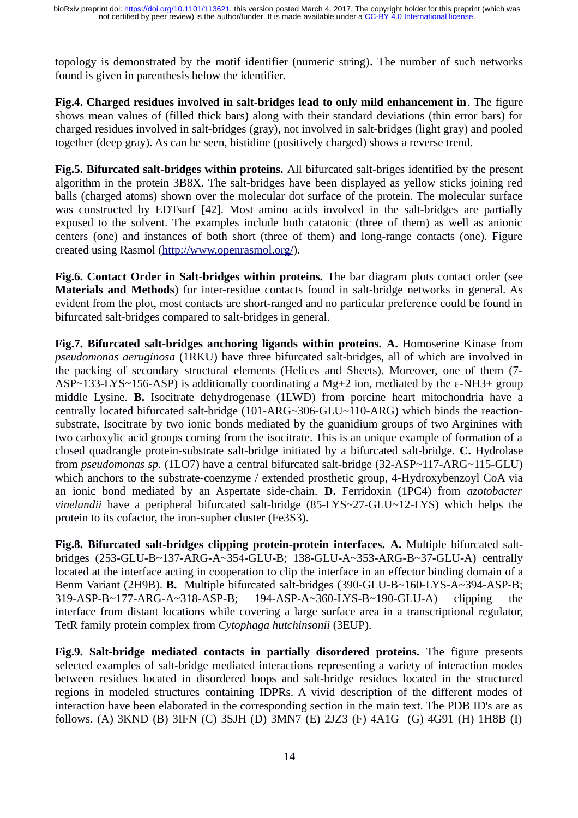topology is demonstrated by the motif identifier (numeric string)**.** The number of such networks found is given in parenthesis below the identifier.

**Fig.4. Charged residues involved in salt-bridges lead to only mild enhancement in**. The figure shows mean values of (filled thick bars) along with their standard deviations (thin error bars) for charged residues involved in salt-bridges (gray), not involved in salt-bridges (light gray) and pooled together (deep gray). As can be seen, histidine (positively charged) shows a reverse trend.

**Fig.5. Bifurcated salt-bridges within proteins.** All bifurcated salt-briges identified by the present algorithm in the protein 3B8X. The salt-bridges have been displayed as yellow sticks joining red balls (charged atoms) shown over the molecular dot surface of the protein. The molecular surface was constructed by EDTsurf [42]. Most amino acids involved in the salt-bridges are partially exposed to the solvent. The examples include both catatonic (three of them) as well as anionic centers (one) and instances of both short (three of them) and long-range contacts (one). Figure created using Rasmol [\(http://www.openrasmol.org/\)](http://www.openrasmol.org/).

**Fig.6. Contact Order in Salt-bridges within proteins.** The bar diagram plots contact order (see **Materials and Methods**) for inter-residue contacts found in salt-bridge networks in general. As evident from the plot, most contacts are short-ranged and no particular preference could be found in bifurcated salt-bridges compared to salt-bridges in general.

**Fig.7. Bifurcated salt-bridges anchoring ligands within proteins. A.** Homoserine Kinase from *pseudomonas aeruginosa* (1RKU) have three bifurcated salt-bridges, all of which are involved in the packing of secondary structural elements (Helices and Sheets). Moreover, one of them (7- ASP~133-LYS~156-ASP) is additionally coordinating a Mg+2 ion, mediated by the ε-NH3+ group middle Lysine. **B.** Isocitrate dehydrogenase (1LWD) from porcine heart mitochondria have a centrally located bifurcated salt-bridge (101-ARG~306-GLU~110-ARG) which binds the reactionsubstrate, Isocitrate by two ionic bonds mediated by the guanidium groups of two Arginines with two carboxylic acid groups coming from the isocitrate. This is an unique example of formation of a closed quadrangle protein-substrate salt-bridge initiated by a bifurcated salt-bridge. **C.** Hydrolase from *pseudomonas sp.* (1LO7) have a central bifurcated salt-bridge (32-ASP~117-ARG~115-GLU) which anchors to the substrate-coenzyme / extended prosthetic group, 4-Hydroxybenzoyl CoA via an ionic bond mediated by an Aspertate side-chain. **D.** Ferridoxin (1PC4) from *azotobacter vinelandii* have a peripheral bifurcated salt-bridge (85-LYS~27-GLU~12-LYS) which helps the protein to its cofactor, the iron-supher cluster (Fe3S3).

**Fig.8. Bifurcated salt-bridges clipping protein-protein interfaces. A.** Multiple bifurcated saltbridges (253-GLU-B~137-ARG-A~354-GLU-B; 138-GLU-A~353-ARG-B~37-GLU-A) centrally located at the interface acting in cooperation to clip the interface in an effector binding domain of a Benm Variant (2H9B). **B.** Multiple bifurcated salt-bridges (390-GLU-B~160-LYS-A~394-ASP-B; 319-ASP-B~177-ARG-A~318-ASP-B; 194-ASP-A~360-LYS-B~190-GLU-A) clipping the interface from distant locations while covering a large surface area in a transcriptional regulator, TetR family protein complex from *Cytophaga hutchinsonii* (3EUP).

**Fig.9. Salt-bridge mediated contacts in partially disordered proteins.** The figure presents selected examples of salt-bridge mediated interactions representing a variety of interaction modes between residues located in disordered loops and salt-bridge residues located in the structured regions in modeled structures containing IDPRs. A vivid description of the different modes of interaction have been elaborated in the corresponding section in the main text. The PDB ID's are as follows. (A) 3KND (B) 3IFN (C) 3SJH (D) 3MN7 (E) 2JZ3 (F) 4A1G (G) 4G91 (H) 1H8B (I)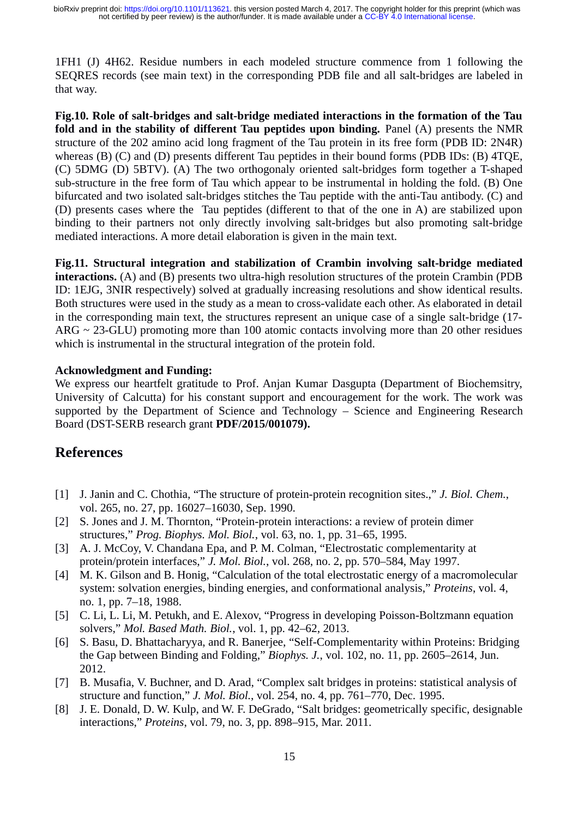1FH1 (J) 4H62. Residue numbers in each modeled structure commence from 1 following the SEQRES records (see main text) in the corresponding PDB file and all salt-bridges are labeled in that way.

**Fig.10. Role of salt-bridges and salt-bridge mediated interactions in the formation of the Tau fold and in the stability of different Tau peptides upon binding.** Panel (A) presents the NMR structure of the 202 amino acid long fragment of the Tau protein in its free form (PDB ID: 2N4R) whereas (B) (C) and (D) presents different Tau peptides in their bound forms (PDB IDs: (B) 4TQE, (C) 5DMG (D) 5BTV). (A) The two orthogonaly oriented salt-bridges form together a T-shaped sub-structure in the free form of Tau which appear to be instrumental in holding the fold. (B) One bifurcated and two isolated salt-bridges stitches the Tau peptide with the anti-Tau antibody. (C) and (D) presents cases where the Tau peptides (different to that of the one in A) are stabilized upon binding to their partners not only directly involving salt-bridges but also promoting salt-bridge mediated interactions. A more detail elaboration is given in the main text.

**Fig.11. Structural integration and stabilization of Crambin involving salt-bridge mediated interactions.** (A) and (B) presents two ultra-high resolution structures of the protein Crambin (PDB ID: 1EJG, 3NIR respectively) solved at gradually increasing resolutions and show identical results. Both structures were used in the study as a mean to cross-validate each other. As elaborated in detail in the corresponding main text, the structures represent an unique case of a single salt-bridge (17- ARG  $\sim$  23-GLU) promoting more than 100 atomic contacts involving more than 20 other residues which is instrumental in the structural integration of the protein fold.

#### **Acknowledgment and Funding:**

We express our heartfelt gratitude to Prof. Anjan Kumar Dasgupta (Department of Biochemsitry, University of Calcutta) for his constant support and encouragement for the work. The work was supported by the Department of Science and Technology – Science and Engineering Research Board (DST-SERB research grant **PDF/2015/001079).** 

#### **References**

- [1] J. Janin and C. Chothia, "The structure of protein-protein recognition sites.," *J. Biol. Chem.*, vol. 265, no. 27, pp. 16027–16030, Sep. 1990.
- [2] S. Jones and J. M. Thornton, "Protein-protein interactions: a review of protein dimer structures," *Prog. Biophys. Mol. Biol.*, vol. 63, no. 1, pp. 31–65, 1995.
- [3] A. J. McCoy, V. Chandana Epa, and P. M. Colman, "Electrostatic complementarity at protein/protein interfaces," *J. Mol. Biol.*, vol. 268, no. 2, pp. 570–584, May 1997.
- [4] M. K. Gilson and B. Honig, "Calculation of the total electrostatic energy of a macromolecular system: solvation energies, binding energies, and conformational analysis," *Proteins*, vol. 4, no. 1, pp. 7–18, 1988.
- [5] C. Li, L. Li, M. Petukh, and E. Alexov, "Progress in developing Poisson-Boltzmann equation solvers," *Mol. Based Math. Biol.*, vol. 1, pp. 42–62, 2013.
- [6] S. Basu, D. Bhattacharyya, and R. Banerjee, "Self-Complementarity within Proteins: Bridging the Gap between Binding and Folding," *Biophys. J.*, vol. 102, no. 11, pp. 2605–2614, Jun. 2012.
- [7] B. Musafia, V. Buchner, and D. Arad, "Complex salt bridges in proteins: statistical analysis of structure and function," *J. Mol. Biol.*, vol. 254, no. 4, pp. 761–770, Dec. 1995.
- [8] J. E. Donald, D. W. Kulp, and W. F. DeGrado, "Salt bridges: geometrically specific, designable interactions," *Proteins*, vol. 79, no. 3, pp. 898–915, Mar. 2011.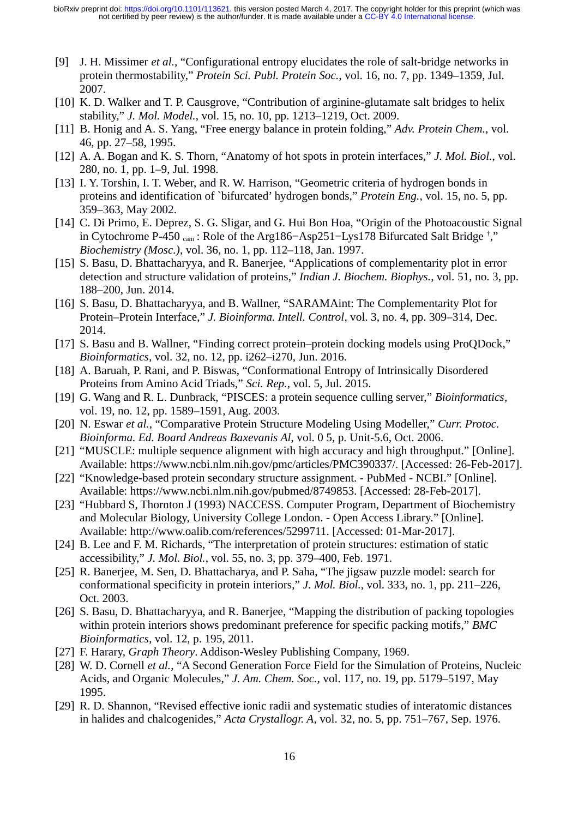- [9] J. H. Missimer *et al.*, "Configurational entropy elucidates the role of salt-bridge networks in protein thermostability," *Protein Sci. Publ. Protein Soc.*, vol. 16, no. 7, pp. 1349–1359, Jul. 2007.
- [10] K. D. Walker and T. P. Causgrove, "Contribution of arginine-glutamate salt bridges to helix stability," *J. Mol. Model.*, vol. 15, no. 10, pp. 1213–1219, Oct. 2009.
- [11] B. Honig and A. S. Yang, "Free energy balance in protein folding," *Adv. Protein Chem.*, vol. 46, pp. 27–58, 1995.
- [12] A. A. Bogan and K. S. Thorn, "Anatomy of hot spots in protein interfaces," *J. Mol. Biol.*, vol. 280, no. 1, pp. 1–9, Jul. 1998.
- [13] I. Y. Torshin, I. T. Weber, and R. W. Harrison, "Geometric criteria of hydrogen bonds in proteins and identification of `bifurcated' hydrogen bonds," *Protein Eng.*, vol. 15, no. 5, pp. 359–363, May 2002.
- [14] C. Di Primo, E. Deprez, S. G. Sligar, and G. Hui Bon Hoa, "Origin of the Photoacoustic Signal in Cytochrome P-450 cam : Role of the Arg186−Asp251−Lys178 Bifurcated Salt Bridge † ," *Biochemistry (Mosc.)*, vol. 36, no. 1, pp. 112–118, Jan. 1997.
- [15] S. Basu, D. Bhattacharyya, and R. Banerjee, "Applications of complementarity plot in error detection and structure validation of proteins," *Indian J. Biochem. Biophys.*, vol. 51, no. 3, pp. 188–200, Jun. 2014.
- [16] S. Basu, D. Bhattacharyya, and B. Wallner, "SARAMAint: The Complementarity Plot for Protein–Protein Interface," *J. Bioinforma. Intell. Control*, vol. 3, no. 4, pp. 309–314, Dec. 2014.
- [17] S. Basu and B. Wallner, "Finding correct protein–protein docking models using ProQDock," *Bioinformatics*, vol. 32, no. 12, pp. i262–i270, Jun. 2016.
- [18] A. Baruah, P. Rani, and P. Biswas, "Conformational Entropy of Intrinsically Disordered Proteins from Amino Acid Triads," *Sci. Rep.*, vol. 5, Jul. 2015.
- [19] G. Wang and R. L. Dunbrack, "PISCES: a protein sequence culling server," *Bioinformatics*, vol. 19, no. 12, pp. 1589–1591, Aug. 2003.
- [20] N. Eswar *et al.*, "Comparative Protein Structure Modeling Using Modeller," *Curr. Protoc. Bioinforma. Ed. Board Andreas Baxevanis Al*, vol. 0 5, p. Unit-5.6, Oct. 2006.
- [21] "MUSCLE: multiple sequence alignment with high accuracy and high throughput." [Online]. Available: https://www.ncbi.nlm.nih.gov/pmc/articles/PMC390337/. [Accessed: 26-Feb-2017].
- [22] "Knowledge-based protein secondary structure assignment. PubMed NCBI." [Online]. Available: https://www.ncbi.nlm.nih.gov/pubmed/8749853. [Accessed: 28-Feb-2017].
- [23] "Hubbard S, Thornton J (1993) NACCESS. Computer Program, Department of Biochemistry and Molecular Biology, University College London. - Open Access Library." [Online]. Available: http://www.oalib.com/references/5299711. [Accessed: 01-Mar-2017].
- [24] B. Lee and F. M. Richards, "The interpretation of protein structures: estimation of static accessibility," *J. Mol. Biol.*, vol. 55, no. 3, pp. 379–400, Feb. 1971.
- [25] R. Banerjee, M. Sen, D. Bhattacharya, and P. Saha, "The jigsaw puzzle model: search for conformational specificity in protein interiors," *J. Mol. Biol.*, vol. 333, no. 1, pp. 211–226, Oct. 2003.
- [26] S. Basu, D. Bhattacharyya, and R. Banerjee, "Mapping the distribution of packing topologies within protein interiors shows predominant preference for specific packing motifs," *BMC Bioinformatics*, vol. 12, p. 195, 2011.
- [27] F. Harary, *Graph Theory*. Addison-Wesley Publishing Company, 1969.
- [28] W. D. Cornell *et al.*, "A Second Generation Force Field for the Simulation of Proteins, Nucleic Acids, and Organic Molecules," *J. Am. Chem. Soc.*, vol. 117, no. 19, pp. 5179–5197, May 1995.
- [29] R. D. Shannon, "Revised effective ionic radii and systematic studies of interatomic distances in halides and chalcogenides," *Acta Crystallogr. A*, vol. 32, no. 5, pp. 751–767, Sep. 1976.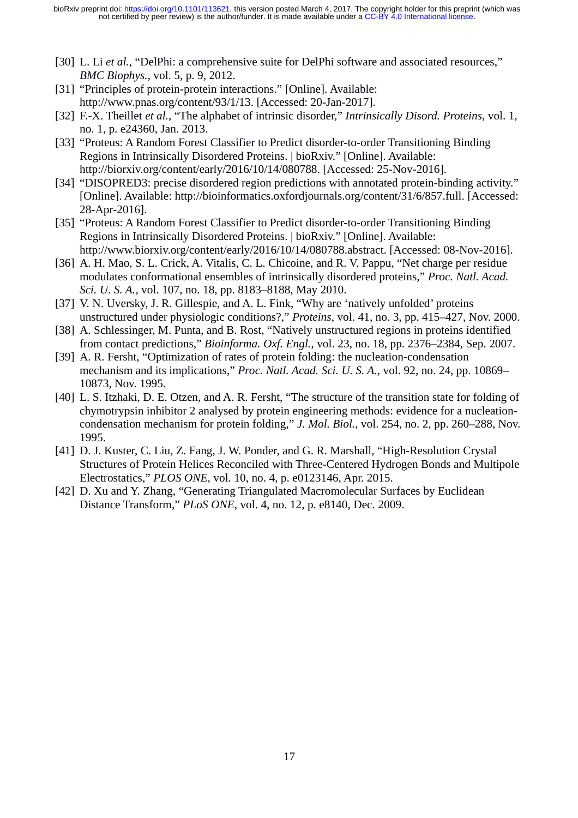- [30] L. Li *et al.*, "DelPhi: a comprehensive suite for DelPhi software and associated resources," *BMC Biophys.*, vol. 5, p. 9, 2012.
- [31] "Principles of protein-protein interactions." [Online]. Available: http://www.pnas.org/content/93/1/13. [Accessed: 20-Jan-2017].
- [32] F.-X. Theillet *et al.*, "The alphabet of intrinsic disorder," *Intrinsically Disord. Proteins*, vol. 1, no. 1, p. e24360, Jan. 2013.
- [33] "Proteus: A Random Forest Classifier to Predict disorder-to-order Transitioning Binding Regions in Intrinsically Disordered Proteins. | bioRxiv." [Online]. Available: http://biorxiv.org/content/early/2016/10/14/080788. [Accessed: 25-Nov-2016].
- [34] "DISOPRED3: precise disordered region predictions with annotated protein-binding activity." [Online]. Available: http://bioinformatics.oxfordjournals.org/content/31/6/857.full. [Accessed: 28-Apr-2016].
- [35] "Proteus: A Random Forest Classifier to Predict disorder-to-order Transitioning Binding Regions in Intrinsically Disordered Proteins. | bioRxiv." [Online]. Available: http://www.biorxiv.org/content/early/2016/10/14/080788.abstract. [Accessed: 08-Nov-2016].
- [36] A. H. Mao, S. L. Crick, A. Vitalis, C. L. Chicoine, and R. V. Pappu, "Net charge per residue modulates conformational ensembles of intrinsically disordered proteins," *Proc. Natl. Acad. Sci. U. S. A.*, vol. 107, no. 18, pp. 8183–8188, May 2010.
- [37] V. N. Uversky, J. R. Gillespie, and A. L. Fink, "Why are 'natively unfolded' proteins unstructured under physiologic conditions?," *Proteins*, vol. 41, no. 3, pp. 415–427, Nov. 2000.
- [38] A. Schlessinger, M. Punta, and B. Rost, "Natively unstructured regions in proteins identified from contact predictions," *Bioinforma. Oxf. Engl.*, vol. 23, no. 18, pp. 2376–2384, Sep. 2007.
- [39] A. R. Fersht, "Optimization of rates of protein folding: the nucleation-condensation mechanism and its implications," *Proc. Natl. Acad. Sci. U. S. A.*, vol. 92, no. 24, pp. 10869– 10873, Nov. 1995.
- [40] L. S. Itzhaki, D. E. Otzen, and A. R. Fersht, "The structure of the transition state for folding of chymotrypsin inhibitor 2 analysed by protein engineering methods: evidence for a nucleationcondensation mechanism for protein folding," *J. Mol. Biol.*, vol. 254, no. 2, pp. 260–288, Nov. 1995.
- [41] D. J. Kuster, C. Liu, Z. Fang, J. W. Ponder, and G. R. Marshall, "High-Resolution Crystal Structures of Protein Helices Reconciled with Three-Centered Hydrogen Bonds and Multipole Electrostatics," *PLOS ONE*, vol. 10, no. 4, p. e0123146, Apr. 2015.
- [42] D. Xu and Y. Zhang, "Generating Triangulated Macromolecular Surfaces by Euclidean Distance Transform," *PLoS ONE*, vol. 4, no. 12, p. e8140, Dec. 2009.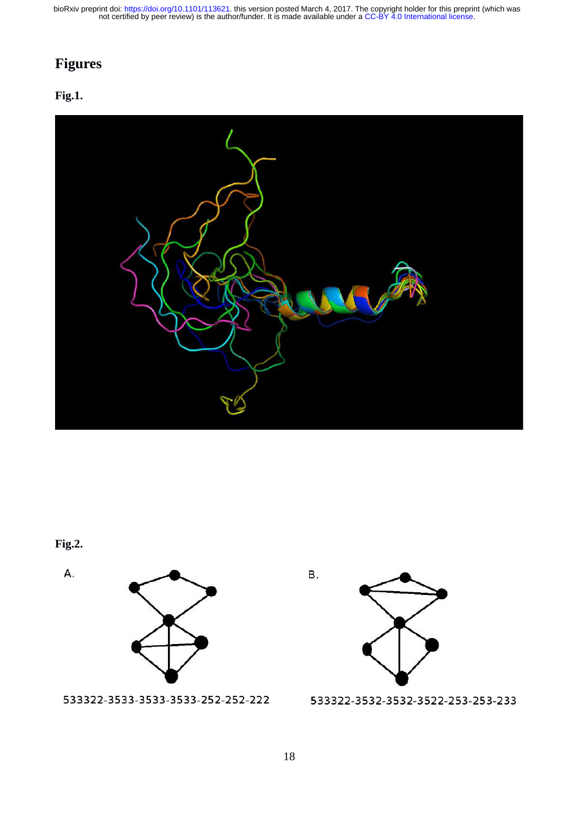## **Figures**

#### **Fig.1.**



#### **Fig.2.**

A.



533322-3533-3533-3533-252-252-222



533322-3532-3532-3522-253-253-233

В.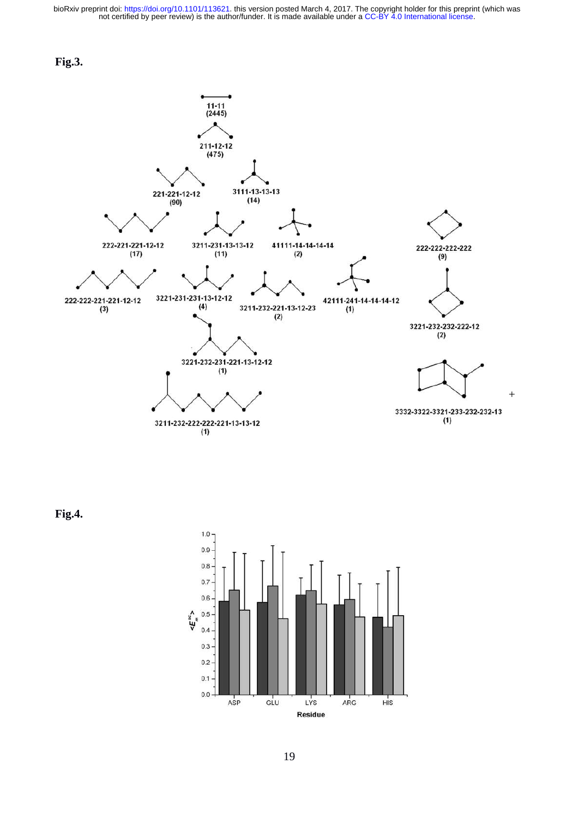



**Fig.4.**

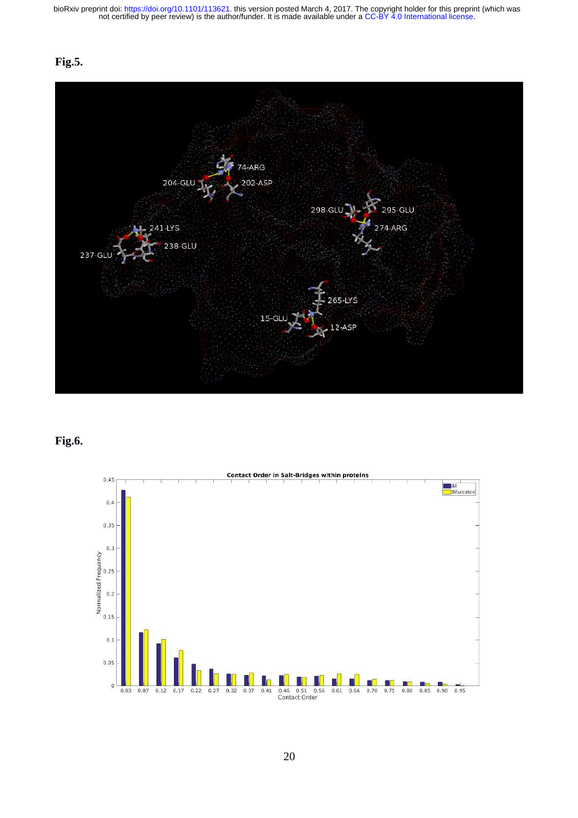#### **Fig.5.**



#### **Fig.6.**

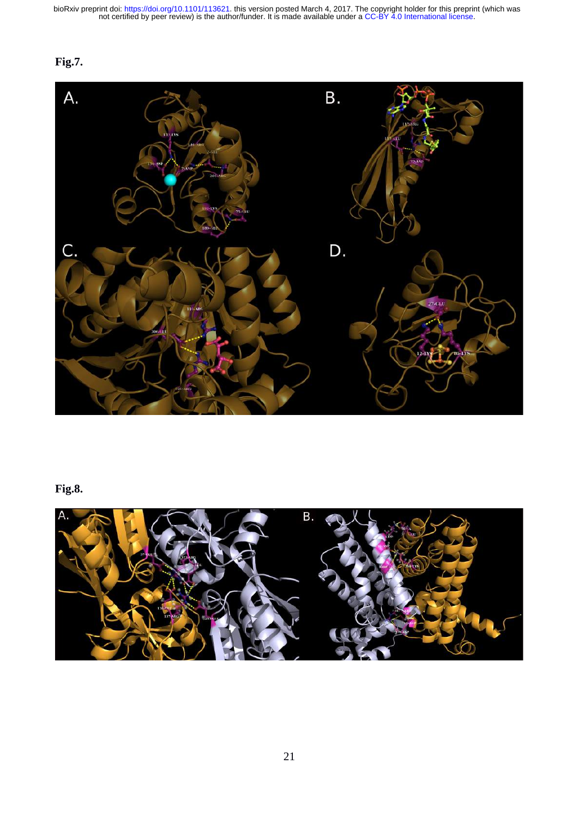#### **Fig.7.**



#### **Fig.8.**

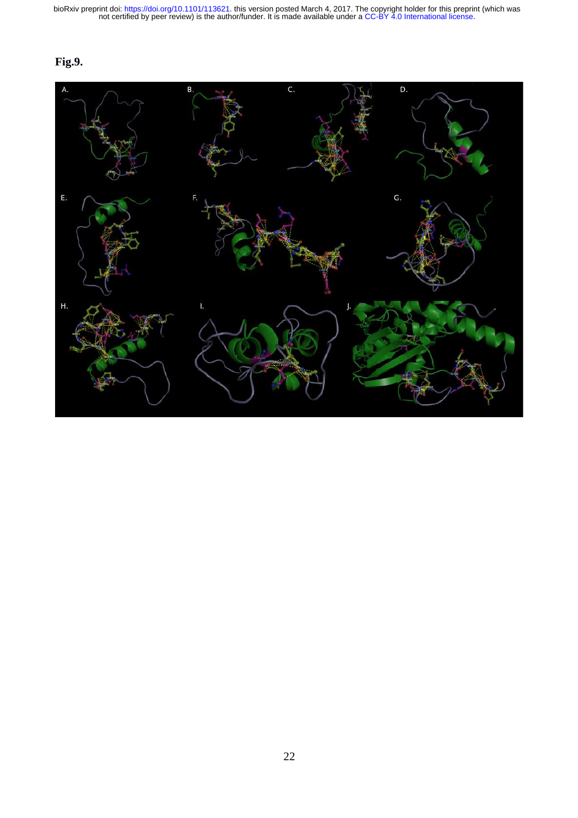#### **Fig.9.**

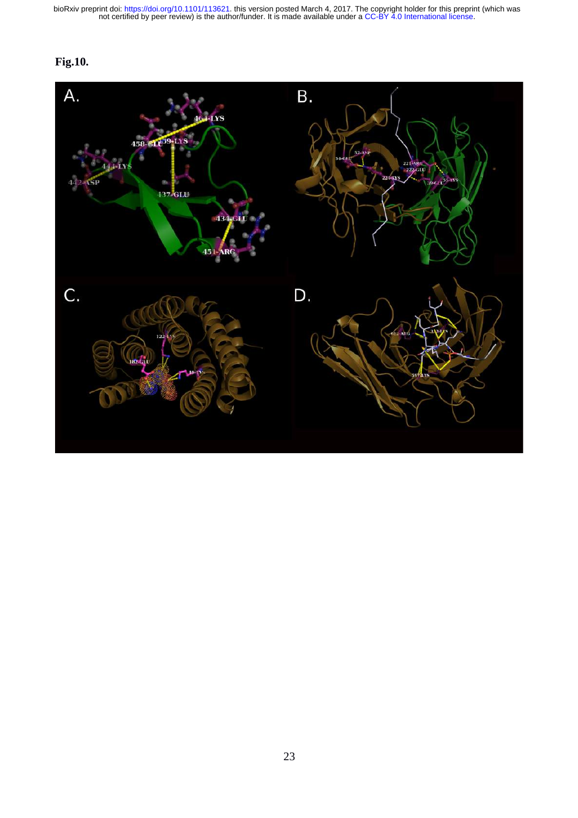#### **Fig.10.**